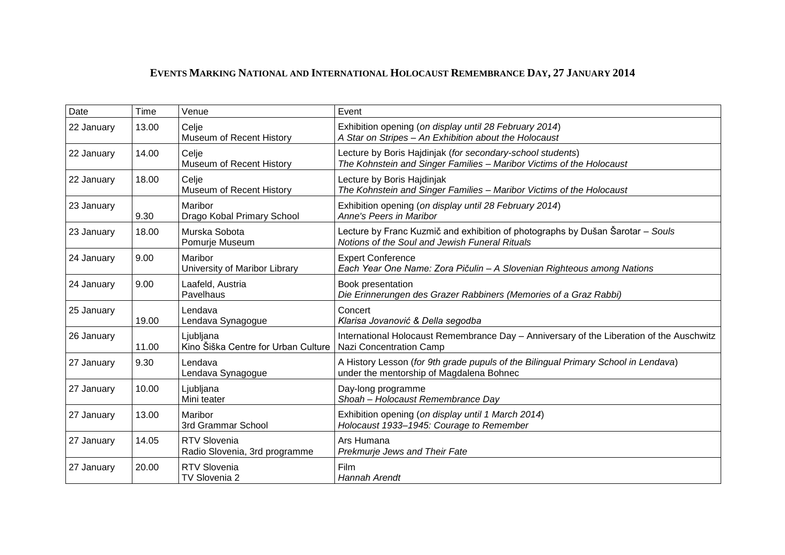## **EVENTS MARKING NATIONAL AND INTERNATIONAL HOLOCAUST REMEMBRANCE DAY, 27 JANUARY 2014**

| Date       | Time  | Venue                                                | Event                                                                                                                              |
|------------|-------|------------------------------------------------------|------------------------------------------------------------------------------------------------------------------------------------|
| 22 January | 13.00 | Celje<br>Museum of Recent History                    | Exhibition opening (on display until 28 February 2014)<br>A Star on Stripes - An Exhibition about the Holocaust                    |
| 22 January | 14.00 | Celje<br>Museum of Recent History                    | Lecture by Boris Hajdinjak (for secondary-school students)<br>The Kohnstein and Singer Families - Maribor Victims of the Holocaust |
| 22 January | 18.00 | Celje<br>Museum of Recent History                    | Lecture by Boris Hajdinjak<br>The Kohnstein and Singer Families - Maribor Victims of the Holocaust                                 |
| 23 January | 9.30  | Maribor<br>Drago Kobal Primary School                | Exhibition opening (on display until 28 February 2014)<br>Anne's Peers in Maribor                                                  |
| 23 January | 18.00 | Murska Sobota<br>Pomurje Museum                      | Lecture by Franc Kuzmič and exhibition of photographs by Dušan Šarotar - Souls<br>Notions of the Soul and Jewish Funeral Rituals   |
| 24 January | 9.00  | Maribor<br>University of Maribor Library             | <b>Expert Conference</b><br>Each Year One Name: Zora Pičulin - A Slovenian Righteous among Nations                                 |
| 24 January | 9.00  | Laafeld, Austria<br>Pavelhaus                        | Book presentation<br>Die Erinnerungen des Grazer Rabbiners (Memories of a Graz Rabbi)                                              |
| 25 January | 19.00 | Lendava<br>Lendava Synagogue                         | Concert<br>Klarisa Jovanović & Della segodba                                                                                       |
| 26 January | 11.00 | Ljubljana<br>Kino Šiška Centre for Urban Culture     | International Holocaust Remembrance Day - Anniversary of the Liberation of the Auschwitz<br>Nazi Concentration Camp                |
| 27 January | 9.30  | Lendava<br>Lendava Synagogue                         | A History Lesson (for 9th grade pupuls of the Bilingual Primary School in Lendava)<br>under the mentorship of Magdalena Bohnec     |
| 27 January | 10.00 | Ljubljana<br>Mini teater                             | Day-long programme<br>Shoah - Holocaust Remembrance Day                                                                            |
| 27 January | 13.00 | Maribor<br>3rd Grammar School                        | Exhibition opening (on display until 1 March 2014)<br>Holocaust 1933-1945: Courage to Remember                                     |
| 27 January | 14.05 | <b>RTV Slovenia</b><br>Radio Slovenia, 3rd programme | Ars Humana<br>Prekmurje Jews and Their Fate                                                                                        |
| 27 January | 20.00 | <b>RTV Slovenia</b><br>TV Slovenia 2                 | Film<br><b>Hannah Arendt</b>                                                                                                       |